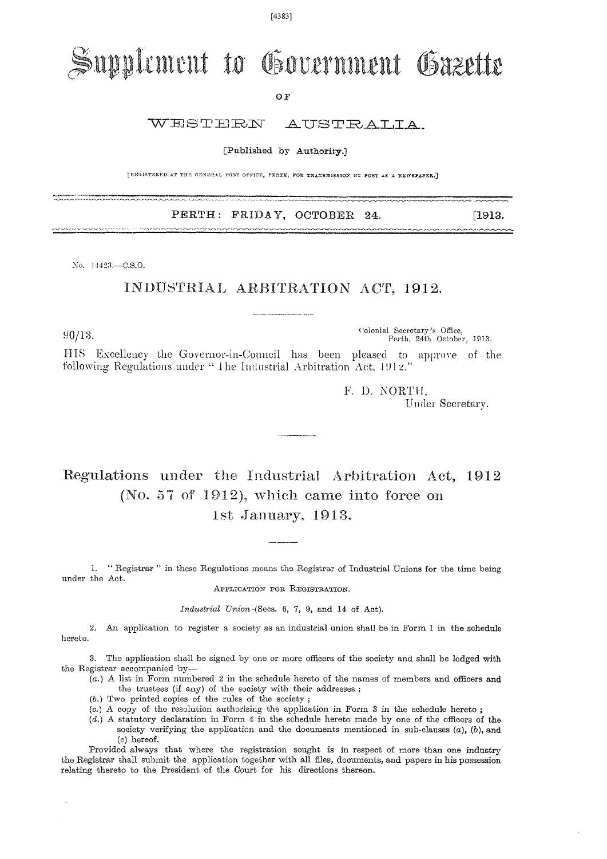[4383]

# Supplement to Government Gazette

O F

#### WESTERN AUSTRALIA.

[Published by Authority.]

[REGISTERED AT THE GENERAL POST OFFICE, PERTE, FOR TRANSMISSION BY POST AS A NEWSPAPER.]

### PERTH: FRIDAY, OCTOBER 24. [1913.]

No. 14423.—C.S.O.

### INDUSTRIAL ARBITRATION ACT, 1912.

Colonial Secretary's Office,  $90/13$ .<br>Perth, 24th October, 1913.

HIS Excellency the Governor-in-Council has been pleased to approve of the following Regulations under " The Industrial Arbitration Act, 1912."

> F. D. NORTH. Under Secretary.

## Regulations under the Industrial Arbitration Act, 1912 (No. 57 of 1912), which came into force on 1st January, 1913.

1. " Registrar " in these Regulations means the Registrar of Industrial Unions for the time being under the Act.

APPLICATION FOR REGISTRATION.

*Industrial* Union-(Secs. 6, 7, 9, and 14 of Act).

2. An application to register a society as an industrial union shall be in Form 1 in the schedule hereto.

3. The application shall be signed by one or more officers of the society and shall be lodged with the Registrar accompanied by—

 $(a)$  A list in Form numbered 2 in the schedule hereto of the names of members and officers and the trustees (if any) of the society with their addresses ;

- (b.) Two printed copies of the rules of the society ;
- (c.) A copy of the resolution authorising the application in Form 3 in the schedule hereto ;
- (d.) A statutory declaration in Form 4 in the schedule hereto made by one of the officers of the society verifying the application and the documents mentioned in sub-clauses  $(a)$ ,  $(b)$ , and *(o)* hereof.

Provided always that where the registration sought is in respect of more than one industry the Registrar shall submit the application together with all files, documents, and papers in his possession relating thereto to the President of the Court for his directions thereon.